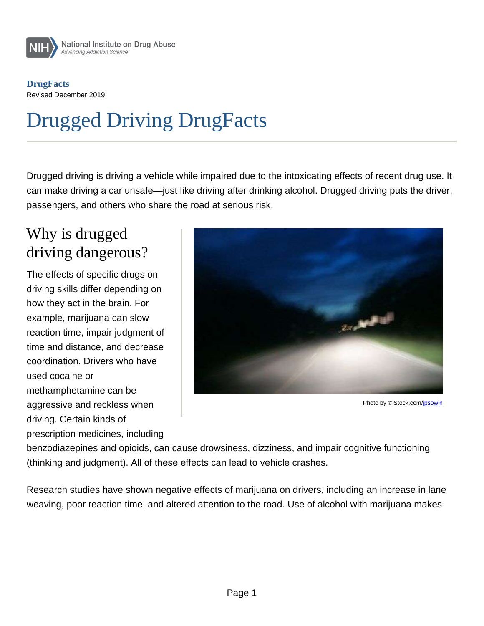**DrugFacts** Revised December 2019

# Drugged Driving DrugFacts

Drugged driving is driving a vehicle while impaired due to the intoxicating effects of recent drug use. It can make driving a car unsafe—just like driving after drinking alcohol. Drugged driving puts the driver, passengers, and others who share the road at serious risk.

#### Why is drugged driving dangerous?

The effects of specific drugs on driving skills differ depending on how they act in the brain. For example, marijuana can slow reaction time, impair judgment of time and distance, and decrease coordination. Drivers who have used cocaine or methamphetamine can be aggressive and reckless when driving. Certain kinds of prescription medicines, including

Photo by ©iStock.com[/jpsowin](https://www.istockphoto.com/portfolio/jpsowin)

benzodiazepines and opioids, can cause drowsiness, dizziness, and impair cognitive functioning (thinking and judgment). All of these effects can lead to vehicle crashes.

Research studies have shown negative effects of marijuana on drivers, including an increase in lane weaving, poor reaction time, and altered attention to the road. Use of alcohol with marijuana makes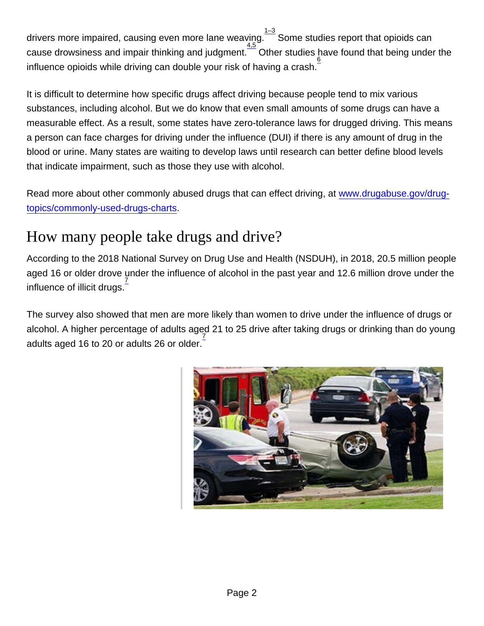drivers more impaired, causing even more lane weaving. $\frac{1-3}{2}$  Some studies report that opioids can cause drowsiness and impair thinking and judgment. <sup>4,5</sup> Other studies have found that being under the influence opioids while driving can double your risk of having a crash.  $\frac{6}{5}$ 

It is difficult to determine how specific drugs affect driving because people tend to mix various substances, including alcohol. But we do know that even small amounts of some drugs can have a measurable effect. As a result, some states have zero-tolerance laws for drugged driving. This means a person can face charges for driving under the influence (DUI) if there is any amount of drug in the blood or urine. Many states are waiting to develop laws until research can better define blood levels that indicate impairment, such as those they use with alcohol.

Read more about other commonly abused drugs that can effect driving, at [www.drugabuse.gov/drug](http://nida.nih.gov/drug-topics/commonly-used-drugs-charts)[topics/commonly-used-drugs-charts.](http://nida.nih.gov/drug-topics/commonly-used-drugs-charts)

#### How many people take drugs and drive?

According to the 2018 National Survey on Drug Use and Health (NSDUH), in 2018, 20.5 million people aged 16 or older drove under the influence of alcohol in the past year and 12.6 million drove under the influence of illicit drugs.<sup>7</sup>

The survey also showed that men are more likely than women to drive under the influence of drugs or alcohol. A higher percentage of adults aged 21 to 25 drive after taking drugs or drinking than do young adults aged 16 to 20 or adults 26 or older.  $\frac{7}{10}$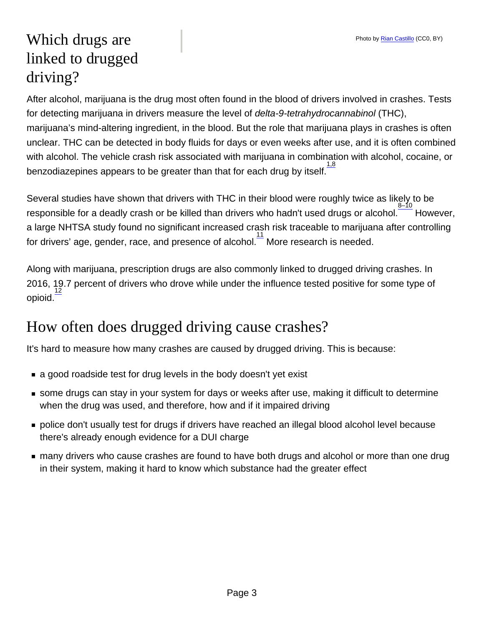## Which drugs are linked to drugged driving?

After alcohol, marijuana is the drug most often found in the blood of drivers involved in crashes. Tests for detecting marijuana in drivers measure the level of delta-9-tetrahydrocannabinol (THC), marijuana's mind-altering ingredient, in the blood. But the role that marijuana plays in crashes is often unclear. THC can be detected in body fluids for days or even weeks after use, and it is often combined with alcohol. The vehicle crash risk associated with marijuana in combination with alcohol, cocaine, or benzodiazepines appears to be greater than that for each drug by itself. $\frac{1.8}{1.8}$ 

Several studies have shown that drivers with THC in their blood were roughly twice as likely to be responsible for a deadly crash or be killed than drivers who hadn't used drugs or alcohol. However, a large NHTSA study found no significant increased crash risk traceable to marijuana after controlling for drivers' age, gender, race, and presence of alcohol.  $\frac{11}{1}$  More research is needed.

Along with marijuana, prescription drugs are also commonly linked to drugged driving crashes. In 2016, 19.7 percent of drivers who drove while under the influence tested positive for some type of opioid. 12

# How often does drugged driving cause crashes?

It's hard to measure how many crashes are caused by drugged driving. This is because:

- a good roadside test for drug levels in the body doesn't yet exist
- some drugs can stay in your system for days or weeks after use, making it difficult to determine when the drug was used, and therefore, how and if it impaired driving
- **police don't usually test for drugs if drivers have reached an illegal blood alcohol level because** there's already enough evidence for a DUI charge
- **now** many drivers who cause crashes are found to have both drugs and alcohol or more than one drug in their system, making it hard to know which substance had the greater effect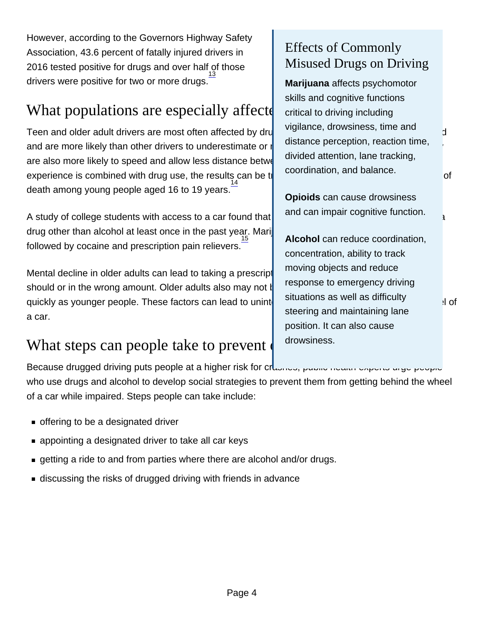However, according to the Governors Highway Safety Association, 43.6 percent of fatally injured drivers in 2016 tested positive for drugs and over half of those drivers were positive for two or more drugs. $\frac{13}{1}$ 

# What populations are especially aff  $\vert$  critical to driving including  $\vert$ ?

Teen and older adult drivers are most often affected by drugged vigilative, drowsmess, unle and detailed and are more likely than other drivers to underestimate or not are also more likely to speed and allow less distance betwe experience is combined with drug use, the results can be  $t\parallel$  coordination, and balance. death among young people aged 16 to 19 years. $\frac{14}{1}$ 

A study of college students with access to a car found that drug other than alcohol at least once in the past year. Mari followed by cocaine and prescription pain relievers. 15

Mental decline in older adults can lead to taking a prescription should or in the wrong amount. Older adults also may not  $\mathfrak k$ quickly as younger people. These factors can lead to unint situations as well as uniformly a car.

# What steps can people take to prev

Because drugged driving puts people at a higher risk for crossing public incompany angeles people who use drugs and alcohol to develop social strategies to prevent them from getting behind the wheel of a car while impaired. Steps people can take include:

Page 4

- **offering to be a designated driver**
- **a** appointing a designated driver to take all car keys
- getting a ride to and from parties where there are alcohol and/or drugs.
- discussing the risks of drugged driving with friends in advance

#### Effects of Commonly Misused Drugs on Driving

Marijuana affects psychomotor skills and cognitive functions critical to driving including vigilance, drowsiness, time and distance perception, reaction time, divided attention, lane tracking, coordination, and balance.

Opioids can cause drowsiness and can impair cognitive function.

Alcohol can reduce coordination, concentration, ability to track moving objects and reduce response to emergency driving situations as well as difficulty steering and maintaining lane position. It can also cause drowsiness.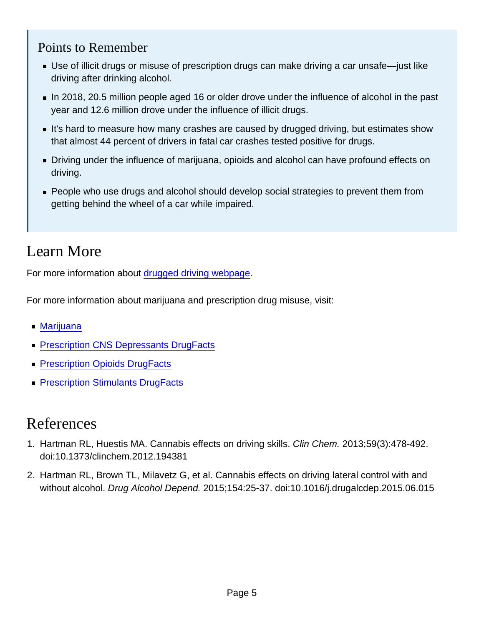#### Points to Remember

- Use of illicit drugs or misuse of prescription drugs can make driving a car unsafe—just like driving after drinking alcohol.
- In 2018, 20.5 million people aged 16 or older drove under the influence of alcohol in the past year and 12.6 million drove under the influence of illicit drugs.
- It's hard to measure how many crashes are caused by drugged driving, but estimates show that almost 44 percent of drivers in fatal car crashes tested positive for drugs.
- Driving under the influence of marijuana, opioids and alcohol can have profound effects on driving.
- **People who use drugs and alcohol should develop social strategies to prevent them from** getting behind the wheel of a car while impaired.

### Learn More

For more information about [drugged driving webpage.](http://nida.nih.gov/drug-topics/drugged-driving)

For more information about marijuana and prescription drug misuse, visit:

- [Marijuana](http://nida.nih.gov/drug-topics/marijuana)
- **[Prescription CNS Depressants DrugFacts](http://nida.nih.gov/publications/drugfacts/prescription-cns-depressants)**
- **[Prescription Opioids DrugFacts](http://nida.nih.gov/publications/drugfacts/prescription-opioids)**
- **[Prescription Stimulants DrugFacts](http://nida.nih.gov/publications/drugfacts/prescription-stimulants)**

#### References

- 1. Hartman RL, Huestis MA. Cannabis effects on driving skills. Clin Chem. 2013;59(3):478-492. doi:10.1373/clinchem.2012.194381
- 2. Hartman RL, Brown TL, Milavetz G, et al. Cannabis effects on driving lateral control with and without alcohol. Drug Alcohol Depend. 2015;154:25-37. doi:10.1016/j.drugalcdep.2015.06.015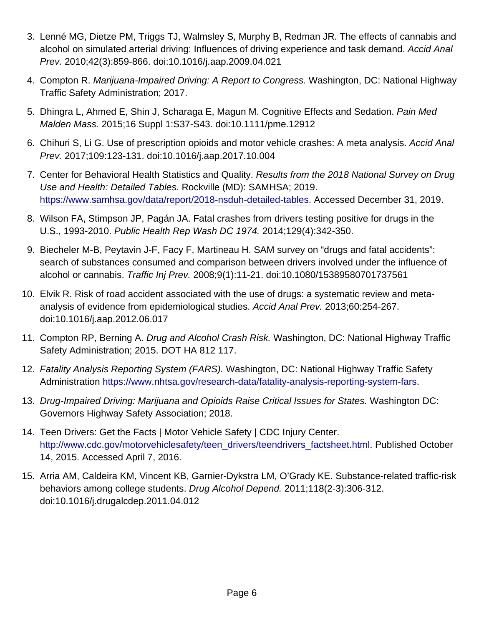- 3. Lenné MG, Dietze PM, Triggs TJ, Walmsley S, Murphy B, Redman JR. The effects of cannabis and alcohol on simulated arterial driving: Influences of driving experience and task demand. Accid Anal Prev. 2010;42(3):859-866. doi:10.1016/j.aap.2009.04.021
- 4. Compton R. Marijuana-Impaired Driving: A Report to Congress. Washington, DC: National Highway Traffic Safety Administration; 2017.
- 5. Dhingra L, Ahmed E, Shin J, Scharaga E, Magun M. Cognitive Effects and Sedation. Pain Med Malden Mass. 2015;16 Suppl 1:S37-S43. doi:10.1111/pme.12912
- 6. Chihuri S, Li G. Use of prescription opioids and motor vehicle crashes: A meta analysis. Accid Anal Prev. 2017;109:123-131. doi:10.1016/j.aap.2017.10.004
- 7. Center for Behavioral Health Statistics and Quality. Results from the 2018 National Survey on Drug Use and Health: Detailed Tables. Rockville (MD): SAMHSA; 2019. [https://www.samhsa.gov/data/report/2018-nsduh-detailed-tables.](https://www.samhsa.gov/data/report/2018-nsduh-detailed-tables) Accessed December 31, 2019.
- 8. Wilson FA, Stimpson JP, Pagán JA. Fatal crashes from drivers testing positive for drugs in the U.S., 1993-2010. Public Health Rep Wash DC 1974. 2014;129(4):342-350.
- 9. Biecheler M-B, Peytavin J-F, Facy F, Martineau H. SAM survey on "drugs and fatal accidents": search of substances consumed and comparison between drivers involved under the influence of alcohol or cannabis. Traffic Inj Prev. 2008;9(1):11-21. doi:10.1080/15389580701737561
- 10. Elvik R. Risk of road accident associated with the use of drugs: a systematic review and metaanalysis of evidence from epidemiological studies. Accid Anal Prev. 2013;60:254-267. doi:10.1016/j.aap.2012.06.017
- 11. Compton RP, Berning A. Drug and Alcohol Crash Risk. Washington, DC: National Highway Traffic Safety Administration; 2015. DOT HA 812 117.
- 12. Fatality Analysis Reporting System (FARS). Washington, DC: National Highway Traffic Safety Administration <https://www.nhtsa.gov/research-data/fatality-analysis-reporting-system-fars>.
- 13. Drug-Impaired Driving: Marijuana and Opioids Raise Critical Issues for States. Washington DC: Governors Highway Safety Association; 2018.
- 14. Teen Drivers: Get the Facts | Motor Vehicle Safety | CDC Injury Center. [http://www.cdc.gov/motorvehiclesafety/teen\\_drivers/teendrivers\\_factsheet.html](http://www.cdc.gov/motorvehiclesafety/teen_drivers/teendrivers_factsheet.html). Published October 14, 2015. Accessed April 7, 2016.
- 15. Arria AM, Caldeira KM, Vincent KB, Garnier-Dykstra LM, O'Grady KE. Substance-related traffic-risk behaviors among college students. Drug Alcohol Depend. 2011;118(2-3):306-312. doi:10.1016/j.drugalcdep.2011.04.012